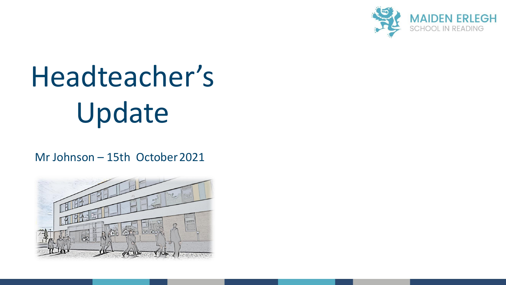

## Headteacher's Update

Mr Johnson – 15th October2021

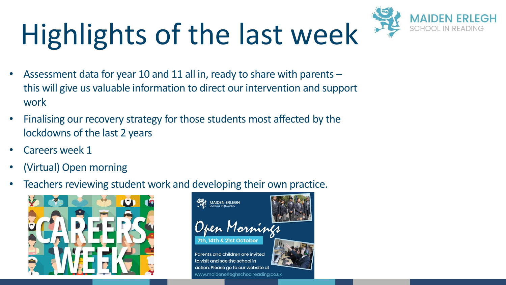# Highlights of the last week



- Assessment data for year 10 and 11 all in, ready to share with parents this will give us valuable information to direct our intervention and support work
- Finalising our recovery strategy for those students most affected by the lockdowns of the last 2 years
- Careers week 1
- (Virtual) Open morning
- Teachers reviewing student work and developing their own practice.



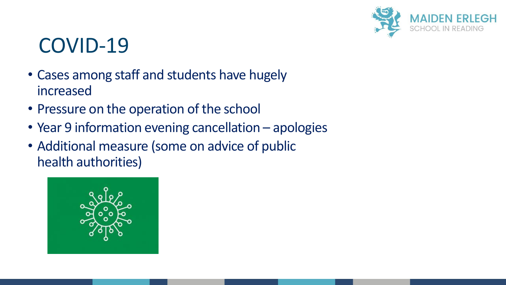

#### COVID-19

- Cases among staff and students have hugely increased
- Pressure on the operation of the school
- Year 9 information evening cancellation apologies
- Additional measure (some on advice of public health authorities)

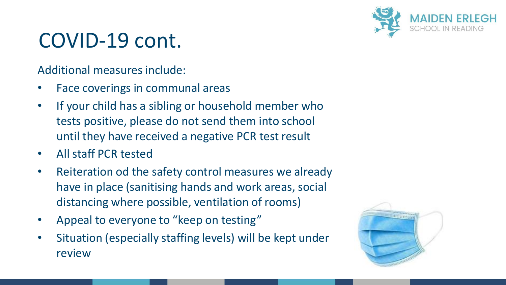

#### COVID-19 cont.

Additional measures include:

- Face coverings in communal areas
- If your child has a sibling or household member who tests positive, please do not send them into school until they have received a negative PCR test result
- All staff PCR tested
- Reiteration od the safety control measures we already have in place (sanitising hands and work areas, social distancing where possible, ventilation of rooms)
- Appeal to everyone to "keep on testing"
- Situation (especially staffing levels) will be kept under review

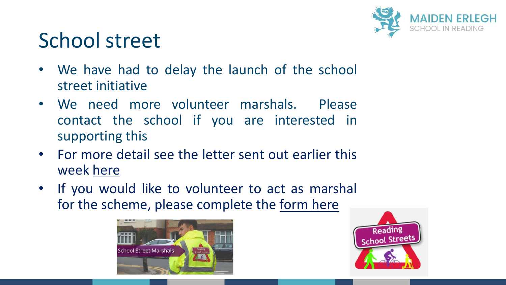

### School street

- We have had to delay the launch of the school street initiative
- We need more volunteer marshals. Please contact the school if you are interested in supporting this
- For more detail see the letter sent out earlier this week [here](https://www.maidenerleghschoolreading.co.uk/attachments/download.asp?file=3728&type=pdf)
- If you would like to volunteer to act as marshal for the scheme, please complete the [form](https://docs.google.com/forms/d/e/1FAIpQLScp0IucYHgSaWnxIzmQHiVj4lYhWnLJLI3xYnnCvdEqw4NiHQ/viewform) here